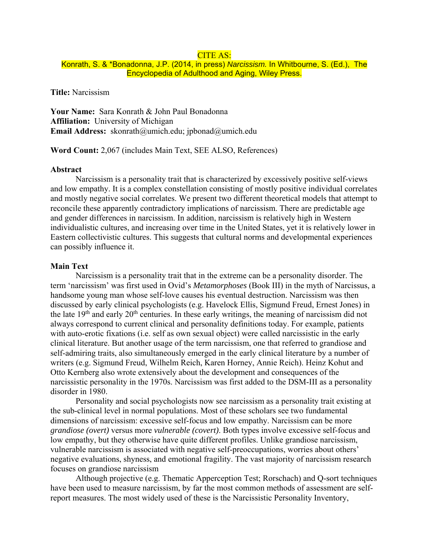### CITE AS:

### Konrath, S. & \*Bonadonna, J.P. (2014, in press) *Narcissism.* In Whitbourne, S. (Ed.), The Encyclopedia of Adulthood and Aging, Wiley Press.

**Title:** Narcissism

**Your Name:** Sara Konrath & John Paul Bonadonna **Affiliation:** University of Michigan **Email Address:** skonrath@umich.edu; jpbonad@umich.edu

**Word Count:** 2,067 (includes Main Text, SEE ALSO, References)

#### **Abstract**

Narcissism is a personality trait that is characterized by excessively positive self-views and low empathy. It is a complex constellation consisting of mostly positive individual correlates and mostly negative social correlates. We present two different theoretical models that attempt to reconcile these apparently contradictory implications of narcissism. There are predictable age and gender differences in narcissism. In addition, narcissism is relatively high in Western individualistic cultures, and increasing over time in the United States, yet it is relatively lower in Eastern collectivistic cultures. This suggests that cultural norms and developmental experiences can possibly influence it.

### **Main Text**

Narcissism is a personality trait that in the extreme can be a personality disorder. The term 'narcissism' was first used in Ovid's *Metamorphoses* (Book III) in the myth of Narcissus, a handsome young man whose self-love causes his eventual destruction. Narcissism was then discussed by early clinical psychologists (e.g. Havelock Ellis, Sigmund Freud, Ernest Jones) in the late 19th and early 20th centuries. In these early writings, the meaning of narcissism did not always correspond to current clinical and personality definitions today. For example, patients with auto-erotic fixations (i.e. self as own sexual object) were called narcissistic in the early clinical literature. But another usage of the term narcissism, one that referred to grandiose and self-admiring traits, also simultaneously emerged in the early clinical literature by a number of writers (e.g. Sigmund Freud, Wilhelm Reich, Karen Horney, Annie Reich). Heinz Kohut and Otto Kernberg also wrote extensively about the development and consequences of the narcissistic personality in the 1970s. Narcissism was first added to the DSM-III as a personality disorder in 1980.

Personality and social psychologists now see narcissism as a personality trait existing at the sub-clinical level in normal populations. Most of these scholars see two fundamental dimensions of narcissism: excessive self-focus and low empathy. Narcissism can be more *grandiose (overt)* versus more *vulnerable (covert)*. Both types involve excessive self-focus and low empathy, but they otherwise have quite different profiles. Unlike grandiose narcissism, vulnerable narcissism is associated with negative self-preoccupations, worries about others' negative evaluations, shyness, and emotional fragility. The vast majority of narcissism research focuses on grandiose narcissism

Although projective (e.g. Thematic Apperception Test; Rorschach) and Q-sort techniques have been used to measure narcissism, by far the most common methods of assessment are selfreport measures. The most widely used of these is the Narcissistic Personality Inventory,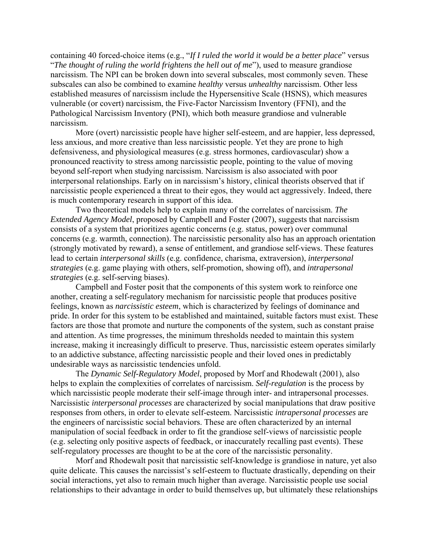containing 40 forced-choice items (e.g., "*If I ruled the world it would be a better place*" versus "*The thought of ruling the world frightens the hell out of me*"), used to measure grandiose narcissism. The NPI can be broken down into several subscales, most commonly seven. These subscales can also be combined to examine *healthy* versus *unhealthy* narcissism. Other less established measures of narcissism include the Hypersensitive Scale (HSNS), which measures vulnerable (or covert) narcissism, the Five-Factor Narcissism Inventory (FFNI), and the Pathological Narcissism Inventory (PNI), which both measure grandiose and vulnerable narcissism.

More (overt) narcissistic people have higher self-esteem, and are happier, less depressed, less anxious, and more creative than less narcissistic people. Yet they are prone to high defensiveness, and physiological measures (e.g. stress hormones, cardiovascular) show a pronounced reactivity to stress among narcissistic people, pointing to the value of moving beyond self-report when studying narcissism. Narcissism is also associated with poor interpersonal relationships. Early on in narcissism's history, clinical theorists observed that if narcissistic people experienced a threat to their egos, they would act aggressively. Indeed, there is much contemporary research in support of this idea.

 Two theoretical models help to explain many of the correlates of narcissism. *The Extended Agency Model*, proposed by Campbell and Foster (2007), suggests that narcissism consists of a system that prioritizes agentic concerns (e.g. status, power) over communal concerns (e.g. warmth, connection). The narcissistic personality also has an approach orientation (strongly motivated by reward), a sense of entitlement, and grandiose self-views. These features lead to certain *interpersonal skills* (e.g. confidence, charisma, extraversion), *interpersonal strategies* (e.g. game playing with others, self-promotion, showing off), and *intrapersonal strategies* (e.g. self-serving biases).

Campbell and Foster posit that the components of this system work to reinforce one another, creating a self-regulatory mechanism for narcissistic people that produces positive feelings, known as *narcissistic esteem*, which is characterized by feelings of dominance and pride. In order for this system to be established and maintained, suitable factors must exist. These factors are those that promote and nurture the components of the system, such as constant praise and attention. As time progresses, the minimum thresholds needed to maintain this system increase, making it increasingly difficult to preserve. Thus, narcissistic esteem operates similarly to an addictive substance, affecting narcissistic people and their loved ones in predictably undesirable ways as narcissistic tendencies unfold.

 The *Dynamic Self-Regulatory Model*, proposed by Morf and Rhodewalt (2001), also helps to explain the complexities of correlates of narcissism. *Self-regulation* is the process by which narcissistic people moderate their self-image through inter- and intrapersonal processes. Narcissistic *interpersonal processes* are characterized by social manipulations that draw positive responses from others, in order to elevate self-esteem. Narcissistic *intrapersonal processes* are the engineers of narcissistic social behaviors. These are often characterized by an internal manipulation of social feedback in order to fit the grandiose self-views of narcissistic people (e.g. selecting only positive aspects of feedback, or inaccurately recalling past events). These self-regulatory processes are thought to be at the core of the narcissistic personality.

Morf and Rhodewalt posit that narcissistic self-knowledge is grandiose in nature, yet also quite delicate. This causes the narcissist's self-esteem to fluctuate drastically, depending on their social interactions, yet also to remain much higher than average. Narcissistic people use social relationships to their advantage in order to build themselves up, but ultimately these relationships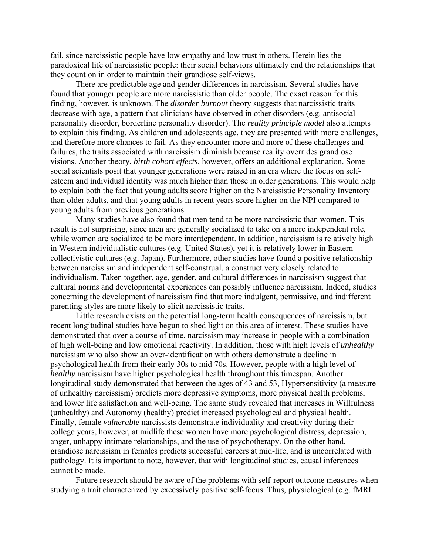fail, since narcissistic people have low empathy and low trust in others. Herein lies the paradoxical life of narcissistic people: their social behaviors ultimately end the relationships that they count on in order to maintain their grandiose self-views.

There are predictable age and gender differences in narcissism. Several studies have found that younger people are more narcissistic than older people. The exact reason for this finding, however, is unknown. The *disorder burnout* theory suggests that narcissistic traits decrease with age, a pattern that clinicians have observed in other disorders (e.g. antisocial personality disorder, borderline personality disorder). The *reality principle model* also attempts to explain this finding. As children and adolescents age, they are presented with more challenges, and therefore more chances to fail. As they encounter more and more of these challenges and failures, the traits associated with narcissism diminish because reality overrides grandiose visions. Another theory, *birth cohort effects*, however, offers an additional explanation. Some social scientists posit that younger generations were raised in an era where the focus on selfesteem and individual identity was much higher than those in older generations. This would help to explain both the fact that young adults score higher on the Narcissistic Personality Inventory than older adults, and that young adults in recent years score higher on the NPI compared to young adults from previous generations.

Many studies have also found that men tend to be more narcissistic than women. This result is not surprising, since men are generally socialized to take on a more independent role, while women are socialized to be more interdependent. In addition, narcissism is relatively high in Western individualistic cultures (e.g. United States), yet it is relatively lower in Eastern collectivistic cultures (e.g. Japan). Furthermore, other studies have found a positive relationship between narcissism and independent self-construal, a construct very closely related to individualism. Taken together, age, gender, and cultural differences in narcissism suggest that cultural norms and developmental experiences can possibly influence narcissism. Indeed, studies concerning the development of narcissism find that more indulgent, permissive, and indifferent parenting styles are more likely to elicit narcissistic traits.

Little research exists on the potential long-term health consequences of narcissism, but recent longitudinal studies have begun to shed light on this area of interest. These studies have demonstrated that over a course of time, narcissism may increase in people with a combination of high well-being and low emotional reactivity. In addition, those with high levels of *unhealthy*  narcissism who also show an over-identification with others demonstrate a decline in psychological health from their early 30s to mid 70s. However, people with a high level of *healthy* narcissism have higher psychological health throughout this timespan. Another longitudinal study demonstrated that between the ages of 43 and 53, Hypersensitivity (a measure of unhealthy narcissism) predicts more depressive symptoms, more physical health problems, and lower life satisfaction and well-being. The same study revealed that increases in Willfulness (unhealthy) and Autonomy (healthy) predict increased psychological and physical health. Finally, female *vulnerable* narcissists demonstrate individuality and creativity during their college years, however, at midlife these women have more psychological distress, depression, anger, unhappy intimate relationships, and the use of psychotherapy. On the other hand, grandiose narcissism in females predicts successful careers at mid-life, and is uncorrelated with pathology. It is important to note, however, that with longitudinal studies, causal inferences cannot be made.

Future research should be aware of the problems with self-report outcome measures when studying a trait characterized by excessively positive self-focus. Thus, physiological (e.g. fMRI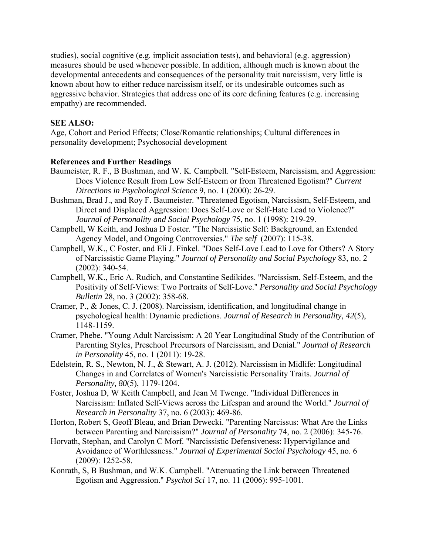studies), social cognitive (e.g. implicit association tests), and behavioral (e.g. aggression) measures should be used whenever possible. In addition, although much is known about the developmental antecedents and consequences of the personality trait narcissism, very little is known about how to either reduce narcissism itself, or its undesirable outcomes such as aggressive behavior. Strategies that address one of its core defining features (e.g. increasing empathy) are recommended.

## **SEE ALSO:**

Age, Cohort and Period Effects; Close/Romantic relationships; Cultural differences in personality development; Psychosocial development

## **References and Further Readings**

- Baumeister, R. F., B Bushman, and W. K. Campbell. "Self-Esteem, Narcissism, and Aggression: Does Violence Result from Low Self-Esteem or from Threatened Egotism?" *Current Directions in Psychological Science* 9, no. 1 (2000): 26-29.
- Bushman, Brad J., and Roy F. Baumeister. "Threatened Egotism, Narcissism, Self-Esteem, and Direct and Displaced Aggression: Does Self-Love or Self-Hate Lead to Violence?" *Journal of Personality and Social Psychology* 75, no. 1 (1998): 219-29.
- Campbell, W Keith, and Joshua D Foster. "The Narcissistic Self: Background, an Extended Agency Model, and Ongoing Controversies." *The self* (2007): 115-38.
- Campbell, W.K., C Foster, and Eli J. Finkel. "Does Self-Love Lead to Love for Others? A Story of Narcissistic Game Playing." *Journal of Personality and Social Psychology* 83, no. 2 (2002): 340-54.
- Campbell, W.K., Eric A. Rudich, and Constantine Sedikides. "Narcissism, Self-Esteem, and the Positivity of Self-Views: Two Portraits of Self-Love." *Personality and Social Psychology Bulletin* 28, no. 3 (2002): 358-68.
- Cramer, P., & Jones, C. J. (2008). Narcissism, identification, and longitudinal change in psychological health: Dynamic predictions. *Journal of Research in Personality, 42*(5), 1148-1159.
- Cramer, Phebe. "Young Adult Narcissism: A 20 Year Longitudinal Study of the Contribution of Parenting Styles, Preschool Precursors of Narcissism, and Denial." *Journal of Research in Personality* 45, no. 1 (2011): 19-28.
- Edelstein, R. S., Newton, N. J., & Stewart, A. J. (2012). Narcissism in Midlife: Longitudinal Changes in and Correlates of Women's Narcissistic Personality Traits. *Journal of Personality, 80*(5), 1179-1204.
- Foster, Joshua D, W Keith Campbell, and Jean M Twenge. "Individual Differences in Narcissism: Inflated Self-Views across the Lifespan and around the World." *Journal of Research in Personality* 37, no. 6 (2003): 469-86.
- Horton, Robert S, Geoff Bleau, and Brian Drwecki. "Parenting Narcissus: What Are the Links between Parenting and Narcissism?" *Journal of Personality* 74, no. 2 (2006): 345-76.
- Horvath, Stephan, and Carolyn C Morf. "Narcissistic Defensiveness: Hypervigilance and Avoidance of Worthlessness." *Journal of Experimental Social Psychology* 45, no. 6 (2009): 1252-58.
- Konrath, S, B Bushman, and W.K. Campbell. "Attenuating the Link between Threatened Egotism and Aggression." *Psychol Sci* 17, no. 11 (2006): 995-1001.